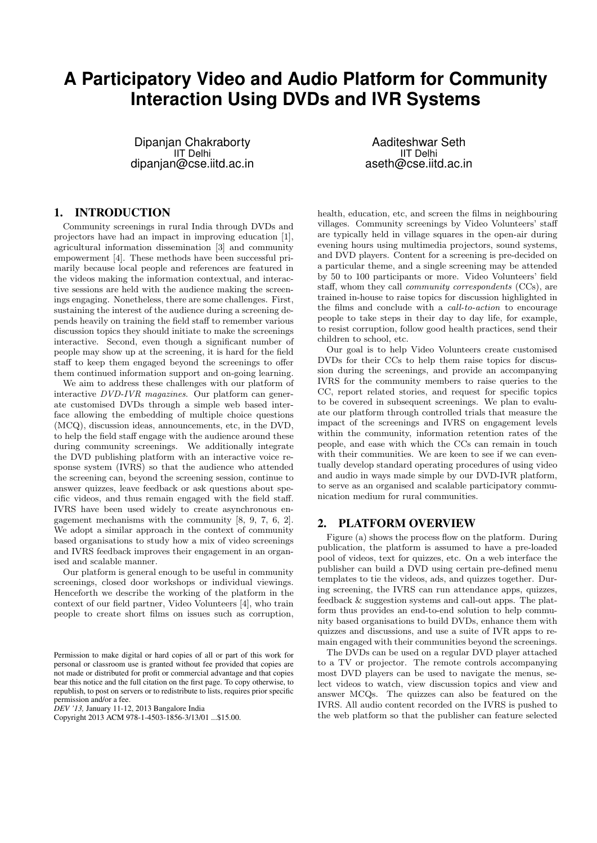# **A Participatory Video and Audio Platform for Community Interaction Using DVDs and IVR Systems**

Dipanjan Chakraborty IIT Delhi dipanjan@cse.iitd.ac.in

1. INTRODUCTION

Community screenings in rural India through DVDs and projectors have had an impact in improving education [1], agricultural information dissemination [3] and community empowerment [4]. These methods have been successful primarily because local people and references are featured in the videos making the information contextual, and interactive sessions are held with the audience making the screenings engaging. Nonetheless, there are some challenges. First, sustaining the interest of the audience during a screening depends heavily on training the field staff to remember various discussion topics they should initiate to make the screenings interactive. Second, even though a significant number of people may show up at the screening, it is hard for the field staff to keep them engaged beyond the screenings to offer them continued information support and on-going learning.

We aim to address these challenges with our platform of interactive DVD-IVR magazines. Our platform can generate customised DVDs through a simple web based interface allowing the embedding of multiple choice questions (MCQ), discussion ideas, announcements, etc, in the DVD, to help the field staff engage with the audience around these during community screenings. We additionally integrate the DVD publishing platform with an interactive voice response system (IVRS) so that the audience who attended the screening can, beyond the screening session, continue to answer quizzes, leave feedback or ask questions about specific videos, and thus remain engaged with the field staff. IVRS have been used widely to create asynchronous engagement mechanisms with the community [8, 9, 7, 6, 2]. We adopt a similar approach in the context of community based organisations to study how a mix of video screenings and IVRS feedback improves their engagement in an organised and scalable manner.

Our platform is general enough to be useful in community screenings, closed door workshops or individual viewings. Henceforth we describe the working of the platform in the context of our field partner, Video Volunteers [4], who train people to create short films on issues such as corruption,

*DEV '13,* January 11-12, 2013 Bangalore India

Aaditeshwar Seth IIT Delhi aseth@cse.iitd.ac.in

health, education, etc, and screen the films in neighbouring villages. Community screenings by Video Volunteers' staff are typically held in village squares in the open-air during evening hours using multimedia projectors, sound systems, and DVD players. Content for a screening is pre-decided on a particular theme, and a single screening may be attended by 50 to 100 participants or more. Video Volunteers' field staff, whom they call community correspondents (CCs), are trained in-house to raise topics for discussion highlighted in the films and conclude with a call-to-action to encourage people to take steps in their day to day life, for example, to resist corruption, follow good health practices, send their children to school, etc.

Our goal is to help Video Volunteers create customised DVDs for their CCs to help them raise topics for discussion during the screenings, and provide an accompanying IVRS for the community members to raise queries to the CC, report related stories, and request for specific topics to be covered in subsequent screenings. We plan to evaluate our platform through controlled trials that measure the impact of the screenings and IVRS on engagement levels within the community, information retention rates of the people, and ease with which the CCs can remain in touch with their communities. We are keen to see if we can eventually develop standard operating procedures of using video and audio in ways made simple by our DVD-IVR platform, to serve as an organised and scalable participatory communication medium for rural communities.

# 2. PLATFORM OVERVIEW

Figure (a) shows the process flow on the platform. During publication, the platform is assumed to have a pre-loaded pool of videos, text for quizzes, etc. On a web interface the publisher can build a DVD using certain pre-defined menu templates to tie the videos, ads, and quizzes together. During screening, the IVRS can run attendance apps, quizzes, feedback & suggestion systems and call-out apps. The platform thus provides an end-to-end solution to help community based organisations to build DVDs, enhance them with quizzes and discussions, and use a suite of IVR apps to remain engaged with their communities beyond the screenings.

The DVDs can be used on a regular DVD player attached to a TV or projector. The remote controls accompanying most DVD players can be used to navigate the menus, select videos to watch, view discussion topics and view and answer MCQs. The quizzes can also be featured on the IVRS. All audio content recorded on the IVRS is pushed to the web platform so that the publisher can feature selected

Permission to make digital or hard copies of all or part of this work for personal or classroom use is granted without fee provided that copies are not made or distributed for profit or commercial advantage and that copies bear this notice and the full citation on the first page. To copy otherwise, to republish, to post on servers or to redistribute to lists, requires prior specific permission and/or a fee.

Copyright 2013 ACM 978-1-4503-1856-3/13/01 ...\$15.00.